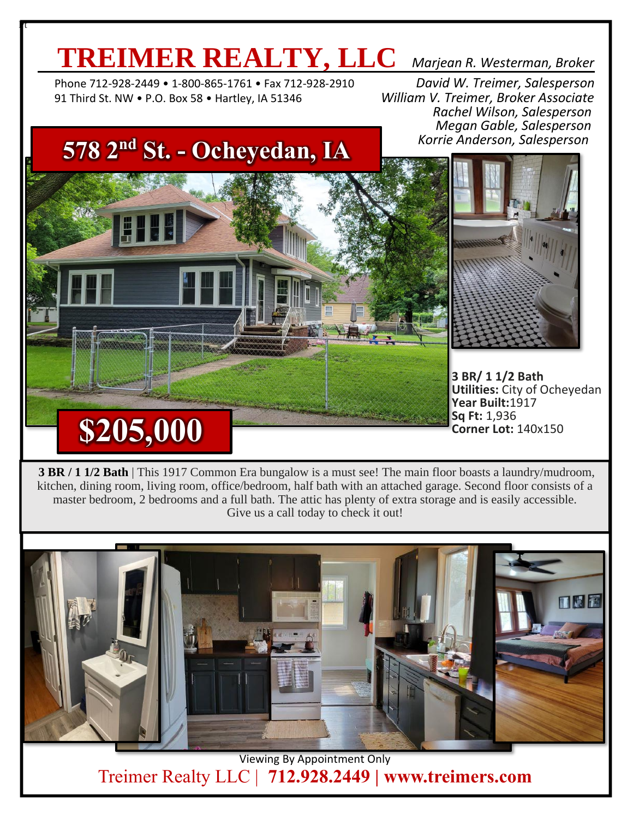# **TREIMER REALTY, LLC** *Marjean R. Westerman, Broker*

 Phone 712-928-2449 • 1-800-865-1761 • Fax 712-928-2910 *David W. Treimer, Salesperson* 91 Third St. NW • P.O. Box 58 • Hartley, IA 51346 *William V. Treimer, Broker Associate*

 $\mathbf r$ 

 *Rachel Wilson, Salesperson Megan Gable, Salesperson Korrie Anderson, Salesperson*

## **578 2nd St. - Ocheyedan, IA**



**3 BR/ 1 1/2 Bath Utilities:** City of Ocheyedan **Year Built:**1917 **Sq Ft:** 1,936 **Corner Lot:** 140x150

**3 BR / 1 1/2 Bath** | This 1917 Common Era bungalow is a must see! The main floor boasts a laundry/mudroom, kitchen, dining room, living room, office/bedroom, half bath with an attached garage. Second floor consists of a master bedroom, 2 bedrooms and a full bath. The attic has plenty of extra storage and is easily accessible. Give us a call today to check it out!



Viewing By Appointment Only Treimer Realty LLC | **712.928.2449 | www.treimers.com**